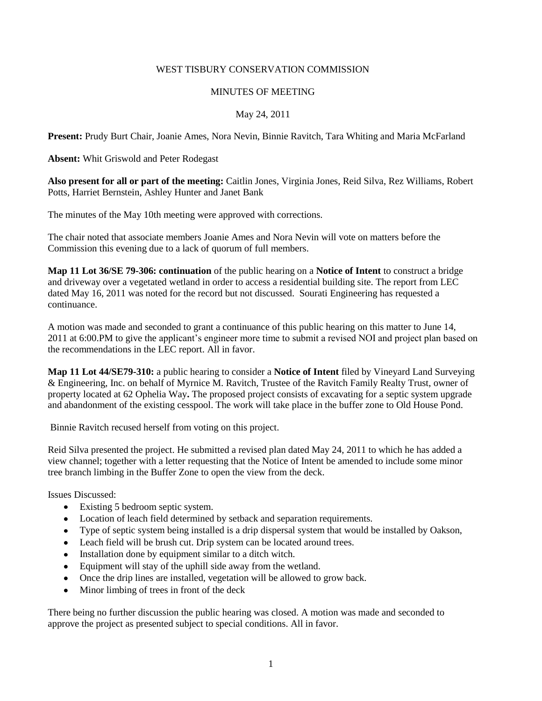### WEST TISBURY CONSERVATION COMMISSION

### MINUTES OF MEETING

# May 24, 2011

**Present:** Prudy Burt Chair, Joanie Ames, Nora Nevin, Binnie Ravitch, Tara Whiting and Maria McFarland

**Absent:** Whit Griswold and Peter Rodegast

**Also present for all or part of the meeting:** Caitlin Jones, Virginia Jones, Reid Silva, Rez Williams, Robert Potts, Harriet Bernstein, Ashley Hunter and Janet Bank

The minutes of the May 10th meeting were approved with corrections.

The chair noted that associate members Joanie Ames and Nora Nevin will vote on matters before the Commission this evening due to a lack of quorum of full members.

**Map 11 Lot 36/SE 79-306: continuation** of the public hearing on a **Notice of Intent** to construct a bridge and driveway over a vegetated wetland in order to access a residential building site. The report from LEC dated May 16, 2011 was noted for the record but not discussed. Sourati Engineering has requested a continuance.

A motion was made and seconded to grant a continuance of this public hearing on this matter to June 14, 2011 at 6:00.PM to give the applicant's engineer more time to submit a revised NOI and project plan based on the recommendations in the LEC report. All in favor.

**Map 11 Lot 44/SE79-310:** a public hearing to consider a **Notice of Intent** filed by Vineyard Land Surveying & Engineering, Inc. on behalf of Myrnice M. Ravitch, Trustee of the Ravitch Family Realty Trust, owner of property located at 62 Ophelia Way**.** The proposed project consists of excavating for a septic system upgrade and abandonment of the existing cesspool. The work will take place in the buffer zone to Old House Pond.

Binnie Ravitch recused herself from voting on this project.

Reid Silva presented the project. He submitted a revised plan dated May 24, 2011 to which he has added a view channel; together with a letter requesting that the Notice of Intent be amended to include some minor tree branch limbing in the Buffer Zone to open the view from the deck.

Issues Discussed:

- Existing 5 bedroom septic system.
- Location of leach field determined by setback and separation requirements.
- Type of septic system being installed is a drip dispersal system that would be installed by Oakson,
- Leach field will be brush cut. Drip system can be located around trees.
- Installation done by equipment similar to a ditch witch.
- Equipment will stay of the uphill side away from the wetland.
- Once the drip lines are installed, vegetation will be allowed to grow back.
- Minor limbing of trees in front of the deck

There being no further discussion the public hearing was closed. A motion was made and seconded to approve the project as presented subject to special conditions. All in favor.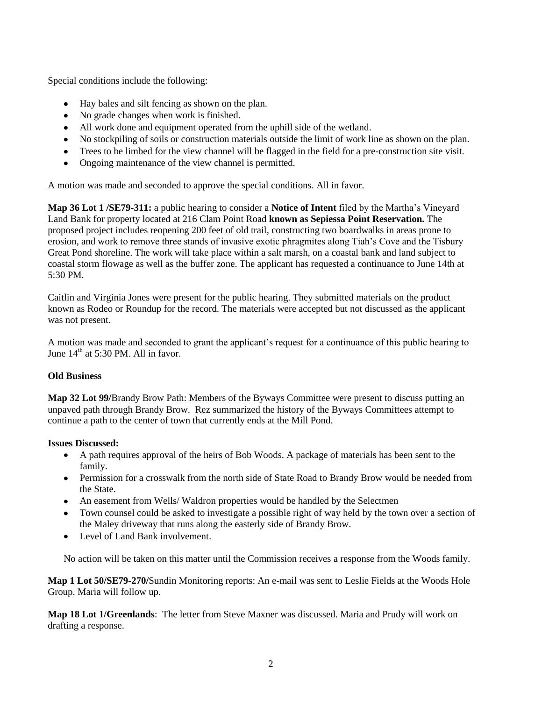Special conditions include the following:

- Hay bales and silt fencing as shown on the plan.
- No grade changes when work is finished.
- All work done and equipment operated from the uphill side of the wetland.
- No stockpiling of soils or construction materials outside the limit of work line as shown on the plan.
- Trees to be limbed for the view channel will be flagged in the field for a pre-construction site visit.  $\bullet$
- Ongoing maintenance of the view channel is permitted.

A motion was made and seconded to approve the special conditions. All in favor.

**Map 36 Lot 1 /SE79-311:** a public hearing to consider a **Notice of Intent** filed by the Martha's Vineyard Land Bank for property located at 216 Clam Point Road **known as Sepiessa Point Reservation.** The proposed project includes reopening 200 feet of old trail, constructing two boardwalks in areas prone to erosion, and work to remove three stands of invasive exotic phragmites along Tiah's Cove and the Tisbury Great Pond shoreline. The work will take place within a salt marsh, on a coastal bank and land subject to coastal storm flowage as well as the buffer zone. The applicant has requested a continuance to June 14th at  $5.30 \text{ PM}$ 

Caitlin and Virginia Jones were present for the public hearing. They submitted materials on the product known as Rodeo or Roundup for the record. The materials were accepted but not discussed as the applicant was not present.

A motion was made and seconded to grant the applicant's request for a continuance of this public hearing to June  $14^{th}$  at 5:30 PM. All in favor.

# **Old Business**

**Map 32 Lot 99/**Brandy Brow Path: Members of the Byways Committee were present to discuss putting an unpaved path through Brandy Brow. Rez summarized the history of the Byways Committees attempt to continue a path to the center of town that currently ends at the Mill Pond.

### **Issues Discussed:**

- A path requires approval of the heirs of Bob Woods. A package of materials has been sent to the family.
- Permission for a crosswalk from the north side of State Road to Brandy Brow would be needed from the State.
- An easement from Wells/ Waldron properties would be handled by the Selectmen
- Town counsel could be asked to investigate a possible right of way held by the town over a section of the Maley driveway that runs along the easterly side of Brandy Brow.
- Level of Land Bank involvement.

No action will be taken on this matter until the Commission receives a response from the Woods family.

**Map 1 Lot 50/SE79-270/**Sundin Monitoring reports: An e-mail was sent to Leslie Fields at the Woods Hole Group. Maria will follow up.

**Map 18 Lot 1/Greenlands**: The letter from Steve Maxner was discussed. Maria and Prudy will work on drafting a response.